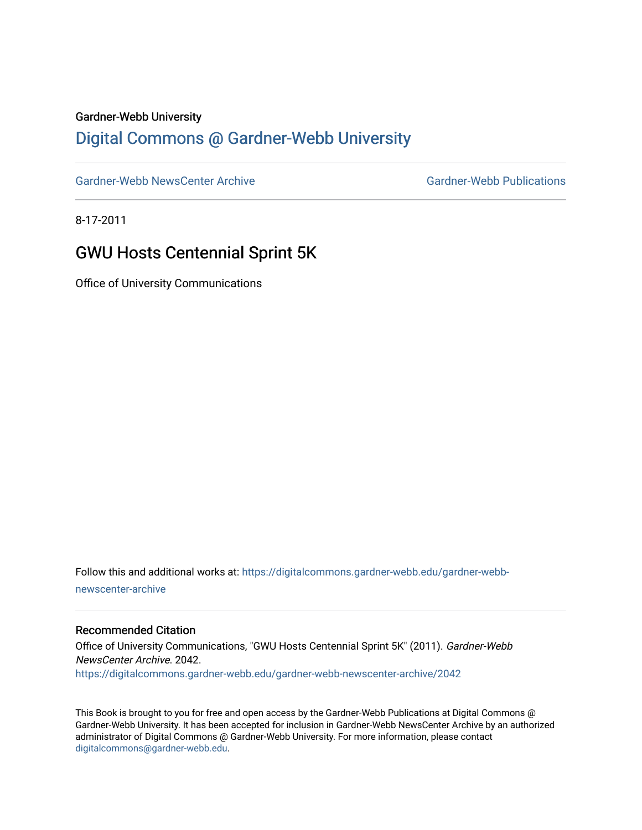#### Gardner-Webb University

## [Digital Commons @ Gardner-Webb University](https://digitalcommons.gardner-webb.edu/)

[Gardner-Webb NewsCenter Archive](https://digitalcommons.gardner-webb.edu/gardner-webb-newscenter-archive) Gardner-Webb Publications

8-17-2011

## GWU Hosts Centennial Sprint 5K

Office of University Communications

Follow this and additional works at: [https://digitalcommons.gardner-webb.edu/gardner-webb](https://digitalcommons.gardner-webb.edu/gardner-webb-newscenter-archive?utm_source=digitalcommons.gardner-webb.edu%2Fgardner-webb-newscenter-archive%2F2042&utm_medium=PDF&utm_campaign=PDFCoverPages)[newscenter-archive](https://digitalcommons.gardner-webb.edu/gardner-webb-newscenter-archive?utm_source=digitalcommons.gardner-webb.edu%2Fgardner-webb-newscenter-archive%2F2042&utm_medium=PDF&utm_campaign=PDFCoverPages)

#### Recommended Citation

Office of University Communications, "GWU Hosts Centennial Sprint 5K" (2011). Gardner-Webb NewsCenter Archive. 2042. [https://digitalcommons.gardner-webb.edu/gardner-webb-newscenter-archive/2042](https://digitalcommons.gardner-webb.edu/gardner-webb-newscenter-archive/2042?utm_source=digitalcommons.gardner-webb.edu%2Fgardner-webb-newscenter-archive%2F2042&utm_medium=PDF&utm_campaign=PDFCoverPages) 

This Book is brought to you for free and open access by the Gardner-Webb Publications at Digital Commons @ Gardner-Webb University. It has been accepted for inclusion in Gardner-Webb NewsCenter Archive by an authorized administrator of Digital Commons @ Gardner-Webb University. For more information, please contact [digitalcommons@gardner-webb.edu](mailto:digitalcommons@gardner-webb.edu).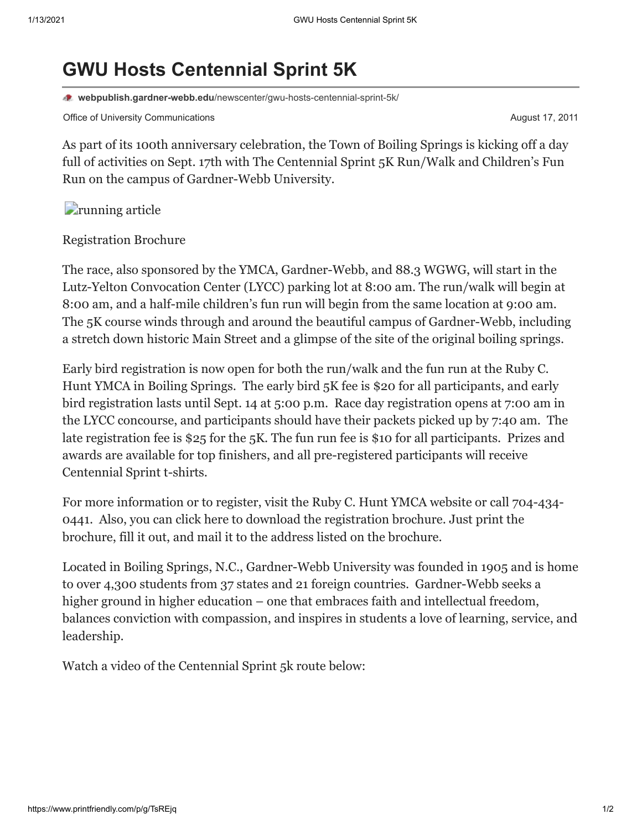# **GWU Hosts Centennial Sprint 5K**

**webpublish.gardner-webb.edu**[/newscenter/gwu-hosts-centennial-sprint-5k/](https://webpublish.gardner-webb.edu/newscenter/gwu-hosts-centennial-sprint-5k/)

Office of University Communications **August 17, 2011 August 17, 2011** 

As part of its 100th anniversary celebration, the Town of Boiling Springs is kicking off a day full of activities on Sept. 17th with The Centennial Sprint 5K Run/Walk and Children's Fun Run on the campus of Gardner-Webb University.

*<u></u> article* 

[Registration Brochure](http://www.gardner-webb.edu/press/archives/august-2011/Centennial%20Sprint%20Brochure-v2.pdf)

The race, also sponsored by the YMCA, Gardner-Webb, and 88.3 WGWG, will start in the Lutz-Yelton Convocation Center (LYCC) parking lot at 8:00 am. The run/walk will begin at 8:00 am, and a half-mile children's fun run will begin from the same location at 9:00 am. The 5K course winds through and around the beautiful campus of Gardner-Webb, including a stretch down historic Main Street and a glimpse of the site of the original boiling springs.

Early bird registration is now open for both the run/walk and the fun run at the Ruby C. Hunt YMCA in Boiling Springs. The early bird 5K fee is \$20 for all participants, and early bird registration lasts until Sept. 14 at 5:00 p.m. Race day registration opens at 7:00 am in the LYCC concourse, and participants should have their packets picked up by 7:40 am. The late registration fee is \$25 for the 5K. The fun run fee is \$10 for all participants. Prizes and awards are available for top finishers, and all pre-registered participants will receive Centennial Sprint t-shirts.

For more information or to register, visit the [Ruby C. Hunt YMCA website](http://www.rubychuntymca.org/) or call 704-434- 0441. Also, you can [click here](http://www.gardner-webb.edu/press/archives/august-2011/Centennial%20Sprint%20Brochure-v2.pdf) to download the registration brochure. Just print the brochure, fill it out, and mail it to the address listed on the brochure.

Located in Boiling Springs, N.C., Gardner-Webb University was founded in 1905 and is home to over 4,300 students from 37 states and 21 foreign countries. Gardner-Webb seeks a higher ground in higher education – one that embraces faith and intellectual freedom, balances conviction with compassion, and inspires in students a love of learning, service, and leadership.

Watch a video of the Centennial Sprint 5k route below: